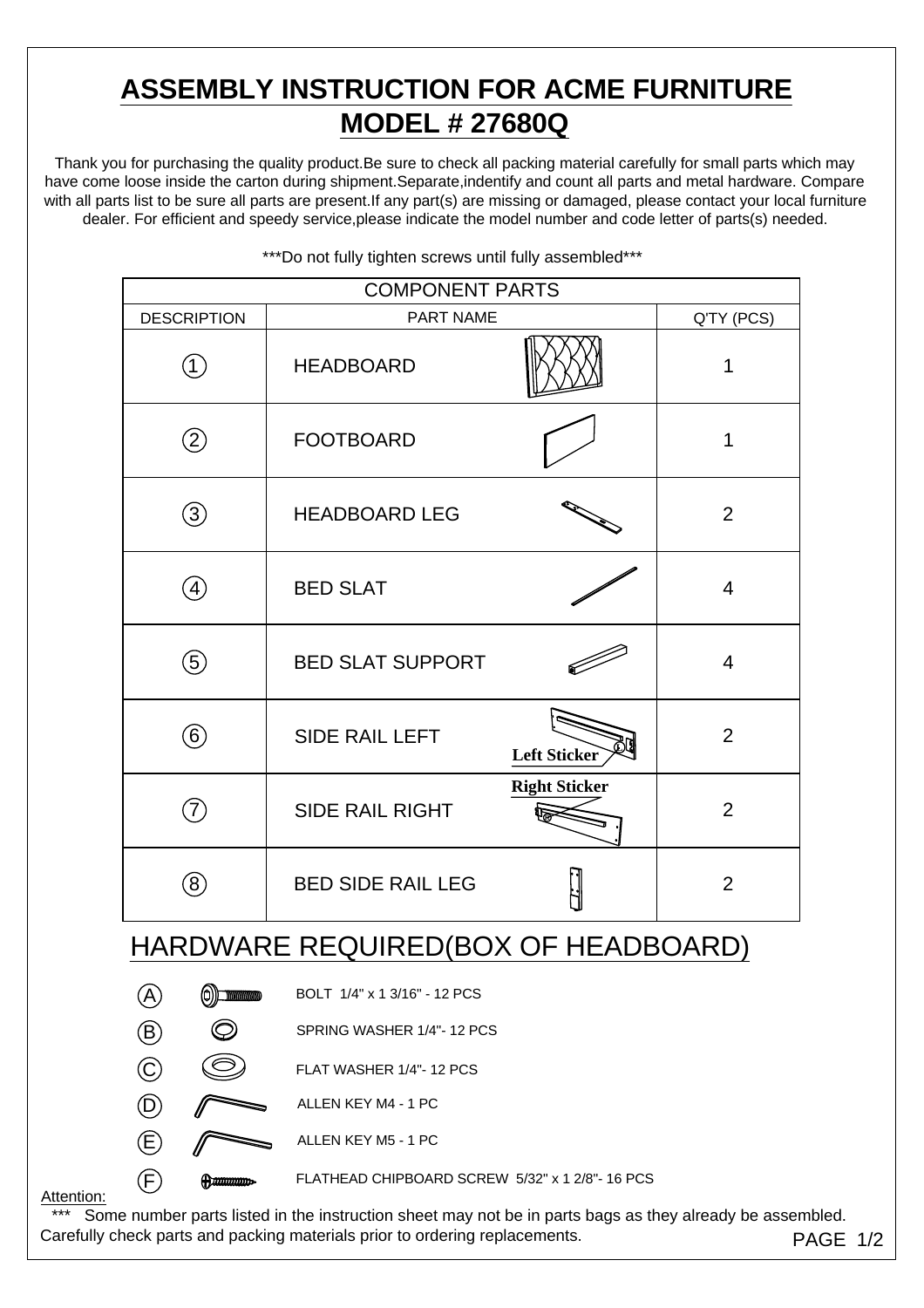# **ASSEMBLY INSTRUCTION FOR ACME FURNITURE MODEL # 27680Q**

Thank you for purchasing the quality product.Be sure to check all packing material carefully for small parts which may have come loose inside the carton during shipment.Separate,indentify and count all parts and metal hardware. Compare with all parts list to be sure all parts are present.If any part(s) are missing or damaged, please contact your local furniture dealer. For efficient and speedy service,please indicate the model number and code letter of parts(s) needed.

| <b>COMPONENT PARTS</b>              |                            |                              |                      |                |  |  |
|-------------------------------------|----------------------------|------------------------------|----------------------|----------------|--|--|
| <b>DESCRIPTION</b>                  |                            | <b>PART NAME</b>             |                      | Q'TY (PCS)     |  |  |
| (1)                                 |                            | <b>HEADBOARD</b>             |                      | 1              |  |  |
| $\circled{2}$                       |                            | <b>FOOTBOARD</b>             |                      | 1              |  |  |
| 3)                                  |                            | <b>HEADBOARD LEG</b>         |                      | $\overline{2}$ |  |  |
| $\left( 4\right)$                   |                            | <b>BED SLAT</b>              |                      | $\overline{4}$ |  |  |
| $\Large(5)$                         |                            | <b>BED SLAT SUPPORT</b>      |                      | $\overline{4}$ |  |  |
| $\left( 6\right)$                   |                            | <b>SIDE RAIL LEFT</b>        | <b>Left Sticker</b>  | $\overline{2}$ |  |  |
| $\hat{7}$                           |                            | <b>SIDE RAIL RIGHT</b>       | <b>Right Sticker</b> | 2              |  |  |
| $\left( 8\right)$                   |                            | <b>BED SIDE RAIL LEG</b>     |                      | $\overline{2}$ |  |  |
| HARDWARE REQUIRED(BOX OF HEADBOARD) |                            |                              |                      |                |  |  |
|                                     | (O))<br><b>MATHEMATICS</b> | BOLT 1/4" x 1 3/16" - 12 PCS |                      |                |  |  |
| $^\circledR$                        |                            | SPRING WASHER 1/4"-12 PCS    |                      |                |  |  |
| $\copyright$                        |                            | FLAT WASHER 1/4"-12 PCS      |                      |                |  |  |
| $\left( \mathsf{D}\right)$          |                            | ALLEN KEY M4 - 1 PC          |                      |                |  |  |

\*\*\*Do not fully tighten screws until fully assembled\*\*\*

#### Attention:

\*\*\* Some number parts listed in the instruction sheet may not be in parts bags as they already be assembled. Carefully check parts and packing materials prior to ordering replacements. PAGE 1/2

F FLATHEAD CHIPBOARD SCREW 5/32" x 1 2/8"- 16 PCS

 $(E)$  ALLEN KEY M5 - 1 PC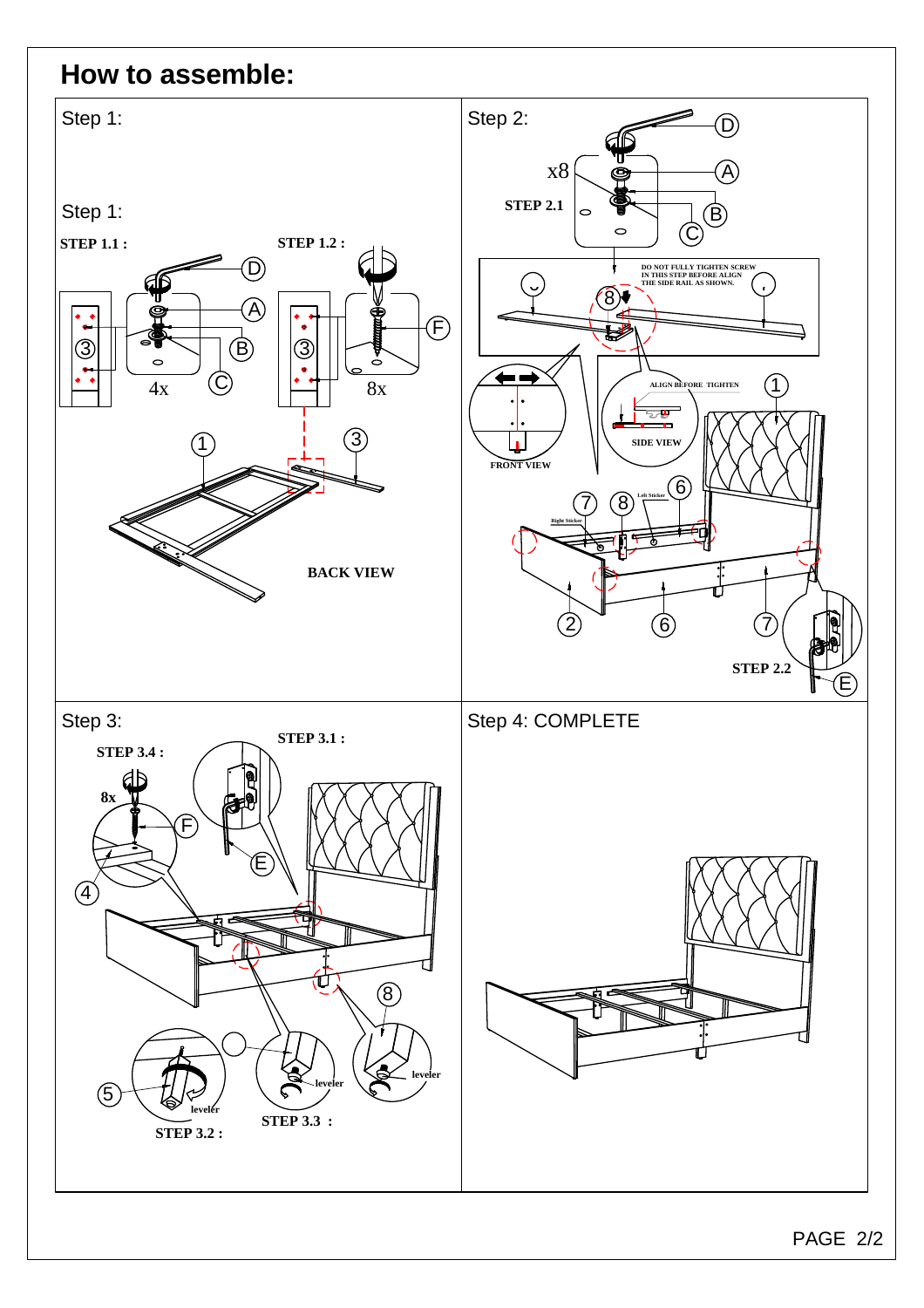#### **How to assemble:**

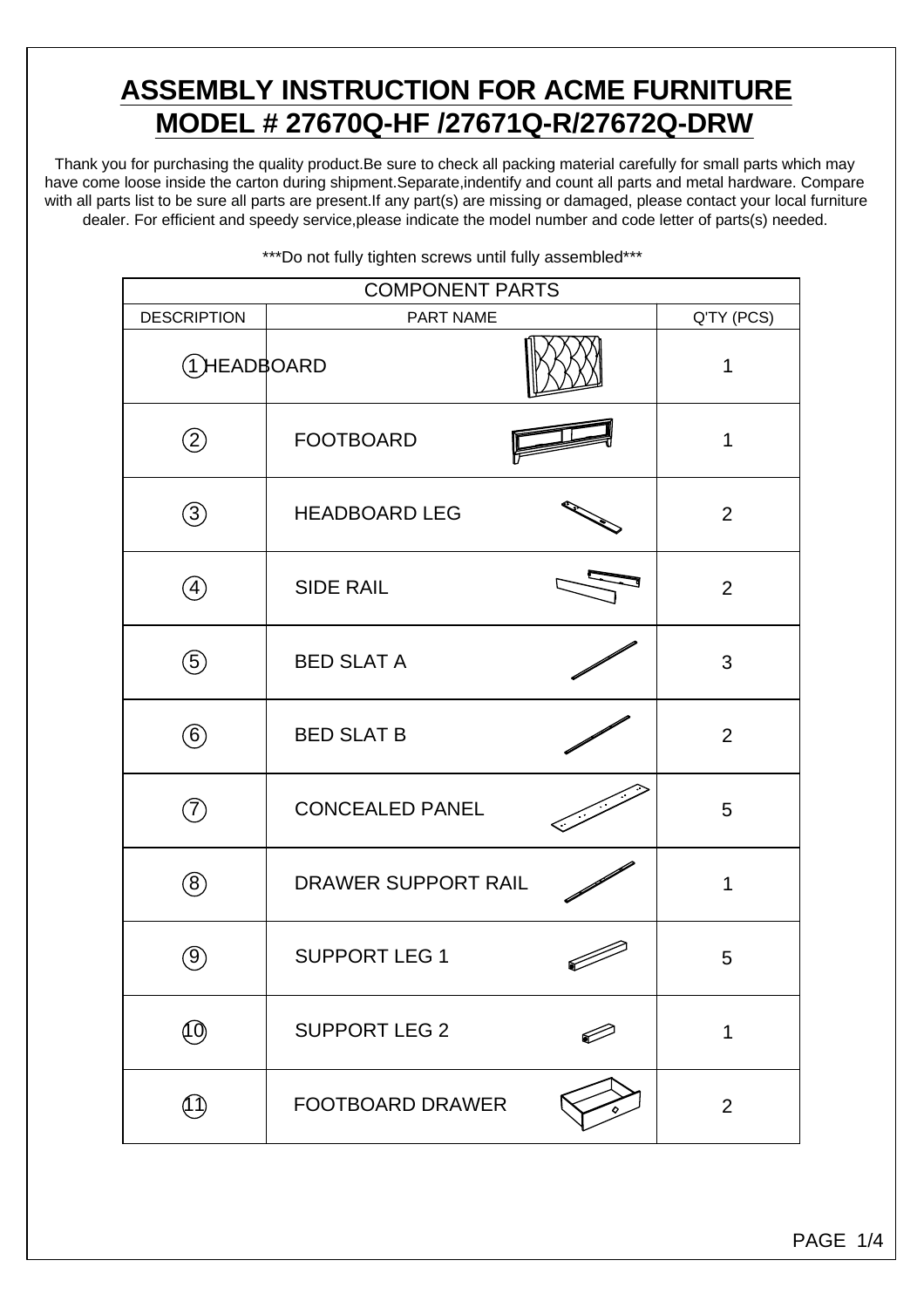## **ASSEMBLY INSTRUCTION FOR ACME FURNITURE MODEL # 27670Q-HF /27671Q-R/27672Q-DRW**

Thank you for purchasing the quality product.Be sure to check all packing material carefully for small parts which may have come loose inside the carton during shipment.Separate,indentify and count all parts and metal hardware. Compare with all parts list to be sure all parts are present.If any part(s) are missing or damaged, please contact your local furniture dealer. For efficient and speedy service,please indicate the model number and code letter of parts(s) needed.

| <b>COMPONENT PARTS</b>          |                         |  |                |  |  |
|---------------------------------|-------------------------|--|----------------|--|--|
| <b>DESCRIPTION</b><br>PART NAME |                         |  | Q'TY (PCS)     |  |  |
| <b>THEADBOARD</b>               |                         |  | 1              |  |  |
| $\circled{2}$                   | <b>FOOTBOARD</b>        |  | 1              |  |  |
| $\circledS$                     | <b>HEADBOARD LEG</b>    |  | $\overline{2}$ |  |  |
| $\left(4\right)$                | <b>SIDE RAIL</b>        |  | $\overline{2}$ |  |  |
| $\circledS$                     | <b>BED SLAT A</b>       |  | 3              |  |  |
| $\circled6$                     | <b>BED SLAT B</b>       |  | 2              |  |  |
| $\widehat{\mathcal{J}}$         | <b>CONCEALED PANEL</b>  |  | 5              |  |  |
| $(\pmb{8})$                     | DRAWER SUPPORT RAIL     |  | 1              |  |  |
| $\left(9\right)$                | <b>SUPPORT LEG 1</b>    |  | 5              |  |  |
| ீ                               | <b>SUPPORT LEG 2</b>    |  | 1              |  |  |
| (1 1                            | <b>FOOTBOARD DRAWER</b> |  | $\overline{2}$ |  |  |

\*\*\*Do not fully tighten screws until fully assembled\*\*\*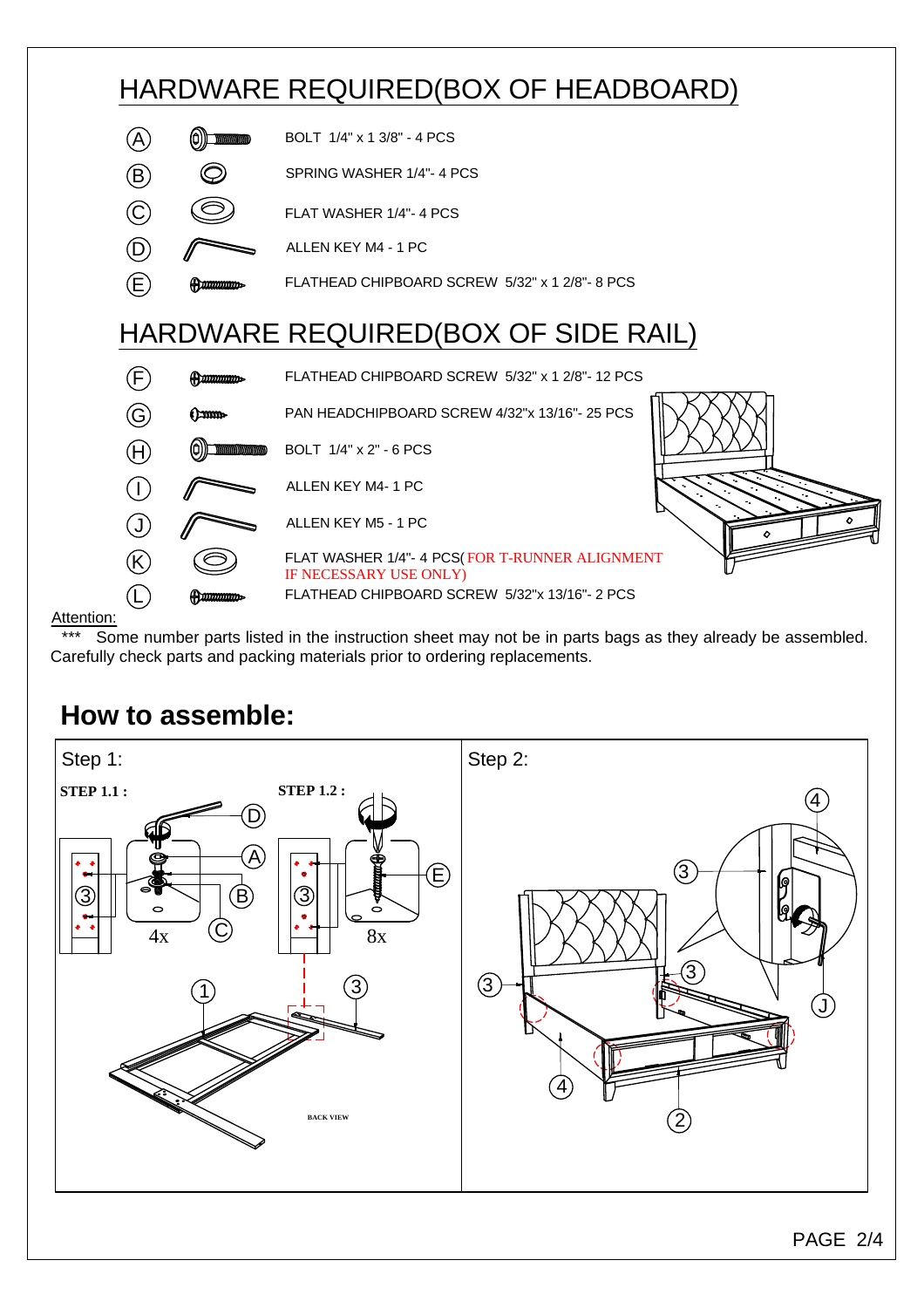

Attention:

Some number parts listed in the instruction sheet may not be in parts bags as they already be assembled. Carefully check parts and packing materials prior to ordering replacements.

# **How to assemble:**

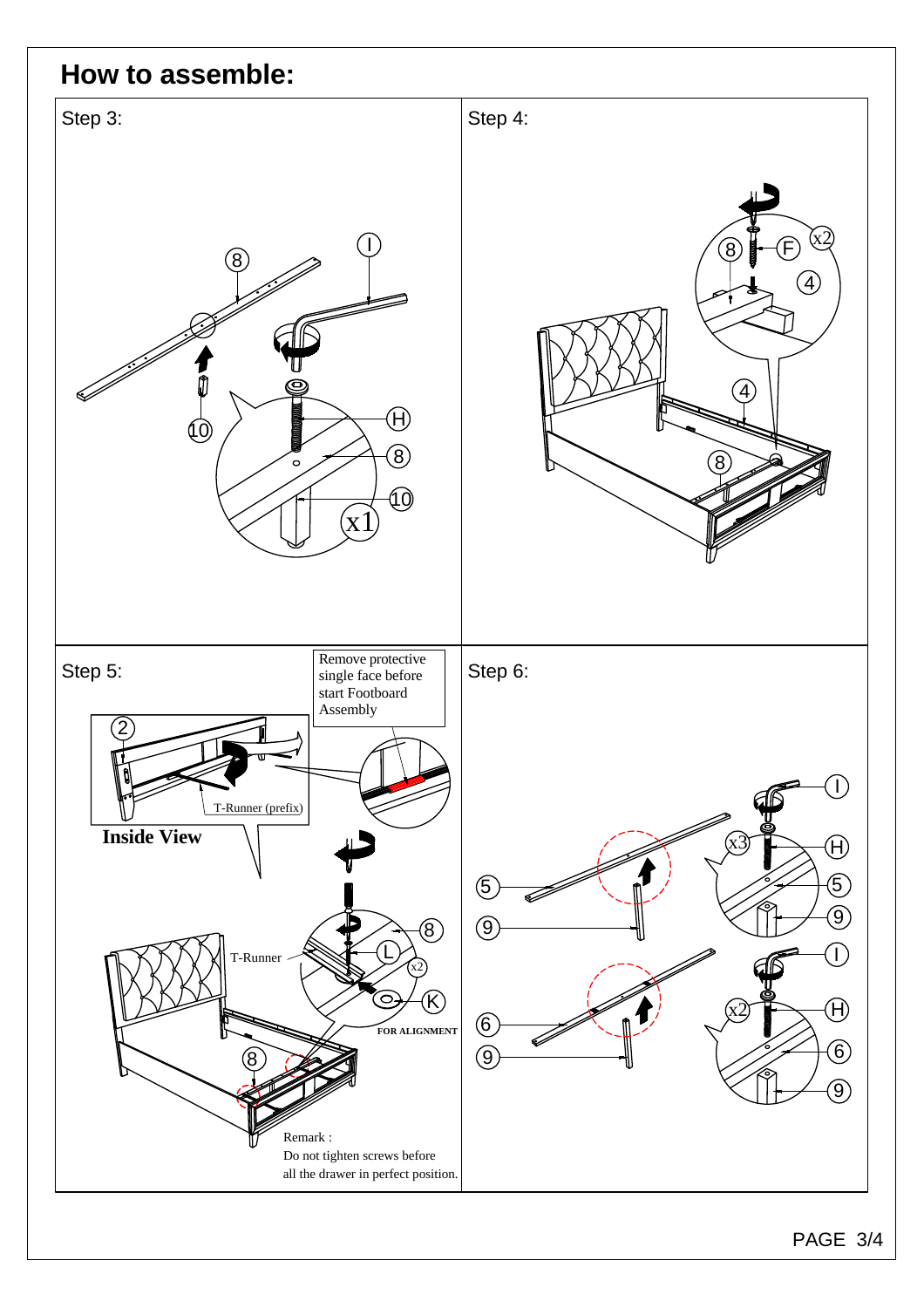### **How to assemble:**